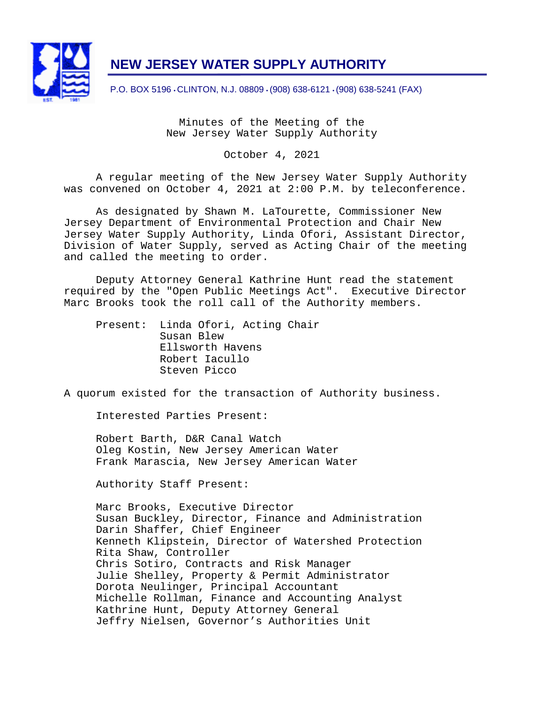

# **NEW JERSEY WATER SUPPLY AUTHORITY**

P.O. BOX 5196 • CLINTON, N.J. 08809 • (908) 638-6121 • (908) 638-5241 (FAX)

Minutes of the Meeting of the New Jersey Water Supply Authority

October 4, 2021

A regular meeting of the New Jersey Water Supply Authority was convened on October 4, 2021 at 2:00 P.M. by teleconference.

As designated by Shawn M. LaTourette, Commissioner New Jersey Department of Environmental Protection and Chair New Jersey Water Supply Authority, Linda Ofori, Assistant Director, Division of Water Supply, served as Acting Chair of the meeting and called the meeting to order.

Deputy Attorney General Kathrine Hunt read the statement required by the "Open Public Meetings Act". Executive Director Marc Brooks took the roll call of the Authority members.

Present: Linda Ofori, Acting Chair Susan Blew Ellsworth Havens Robert Iacullo Steven Picco

A quorum existed for the transaction of Authority business.

Interested Parties Present:

Robert Barth, D&R Canal Watch Oleg Kostin, New Jersey American Water Frank Marascia, New Jersey American Water

Authority Staff Present:

Marc Brooks, Executive Director Susan Buckley, Director, Finance and Administration Darin Shaffer, Chief Engineer Kenneth Klipstein, Director of Watershed Protection Rita Shaw, Controller Chris Sotiro, Contracts and Risk Manager Julie Shelley, Property & Permit Administrator Dorota Neulinger, Principal Accountant Michelle Rollman, Finance and Accounting Analyst Kathrine Hunt, Deputy Attorney General Jeffry Nielsen, Governor's Authorities Unit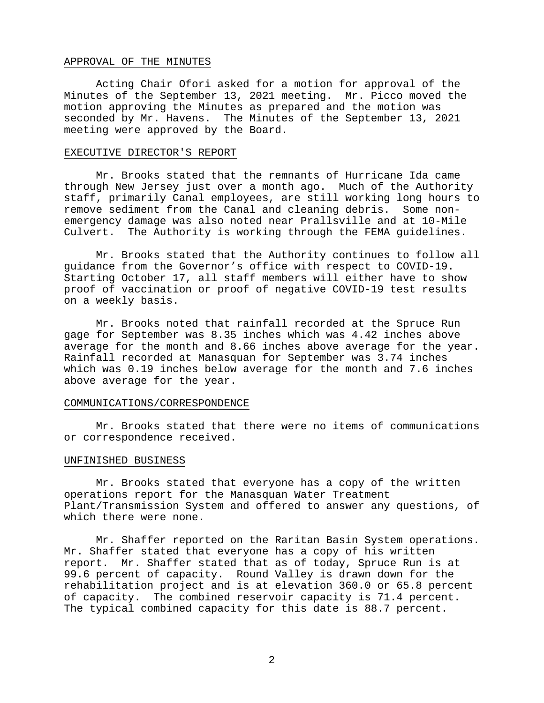## APPROVAL OF THE MINUTES

Acting Chair Ofori asked for a motion for approval of the Minutes of the September 13, 2021 meeting. Mr. Picco moved the motion approving the Minutes as prepared and the motion was seconded by Mr. Havens. The Minutes of the September 13, 2021 meeting were approved by the Board.

#### EXECUTIVE DIRECTOR'S REPORT

Mr. Brooks stated that the remnants of Hurricane Ida came through New Jersey just over a month ago. Much of the Authority staff, primarily Canal employees, are still working long hours to remove sediment from the Canal and cleaning debris. Some nonemergency damage was also noted near Prallsville and at 10-Mile Culvert. The Authority is working through the FEMA guidelines.

Mr. Brooks stated that the Authority continues to follow all guidance from the Governor's office with respect to COVID-19. Starting October 17, all staff members will either have to show proof of vaccination or proof of negative COVID-19 test results on a weekly basis.

Mr. Brooks noted that rainfall recorded at the Spruce Run gage for September was 8.35 inches which was 4.42 inches above average for the month and 8.66 inches above average for the year. Rainfall recorded at Manasquan for September was 3.74 inches which was 0.19 inches below average for the month and 7.6 inches above average for the year.

# COMMUNICATIONS/CORRESPONDENCE

Mr. Brooks stated that there were no items of communications or correspondence received.

#### UNFINISHED BUSINESS

Mr. Brooks stated that everyone has a copy of the written operations report for the Manasquan Water Treatment Plant/Transmission System and offered to answer any questions, of which there were none.

Mr. Shaffer reported on the Raritan Basin System operations. Mr. Shaffer stated that everyone has a copy of his written report. Mr. Shaffer stated that as of today, Spruce Run is at 99.6 percent of capacity. Round Valley is drawn down for the rehabilitation project and is at elevation 360.0 or 65.8 percent of capacity. The combined reservoir capacity is 71.4 percent. The typical combined capacity for this date is 88.7 percent.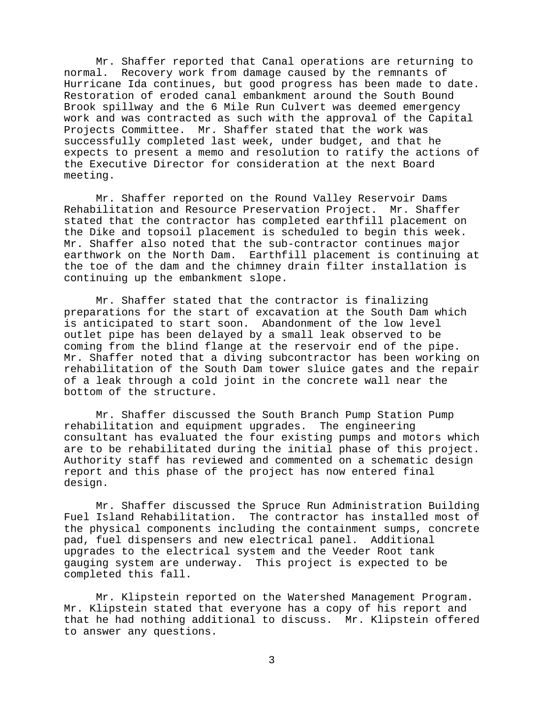Mr. Shaffer reported that Canal operations are returning to normal. Recovery work from damage caused by the remnants of Hurricane Ida continues, but good progress has been made to date. Restoration of eroded canal embankment around the South Bound Brook spillway and the 6 Mile Run Culvert was deemed emergency work and was contracted as such with the approval of the Capital Projects Committee. Mr. Shaffer stated that the work was successfully completed last week, under budget, and that he expects to present a memo and resolution to ratify the actions of the Executive Director for consideration at the next Board meeting.

Mr. Shaffer reported on the Round Valley Reservoir Dams Rehabilitation and Resource Preservation Project. Mr. Shaffer stated that the contractor has completed earthfill placement on the Dike and topsoil placement is scheduled to begin this week. Mr. Shaffer also noted that the sub-contractor continues major earthwork on the North Dam. Earthfill placement is continuing at the toe of the dam and the chimney drain filter installation is continuing up the embankment slope.

Mr. Shaffer stated that the contractor is finalizing preparations for the start of excavation at the South Dam which is anticipated to start soon. Abandonment of the low level outlet pipe has been delayed by a small leak observed to be coming from the blind flange at the reservoir end of the pipe. Mr. Shaffer noted that a diving subcontractor has been working on rehabilitation of the South Dam tower sluice gates and the repair of a leak through a cold joint in the concrete wall near the bottom of the structure.

Mr. Shaffer discussed the South Branch Pump Station Pump rehabilitation and equipment upgrades. The engineering consultant has evaluated the four existing pumps and motors which are to be rehabilitated during the initial phase of this project. Authority staff has reviewed and commented on a schematic design report and this phase of the project has now entered final design.

Mr. Shaffer discussed the Spruce Run Administration Building Fuel Island Rehabilitation. The contractor has installed most of the physical components including the containment sumps, concrete pad, fuel dispensers and new electrical panel. Additional upgrades to the electrical system and the Veeder Root tank gauging system are underway. This project is expected to be completed this fall.

Mr. Klipstein reported on the Watershed Management Program. Mr. Klipstein stated that everyone has a copy of his report and that he had nothing additional to discuss. Mr. Klipstein offered to answer any questions.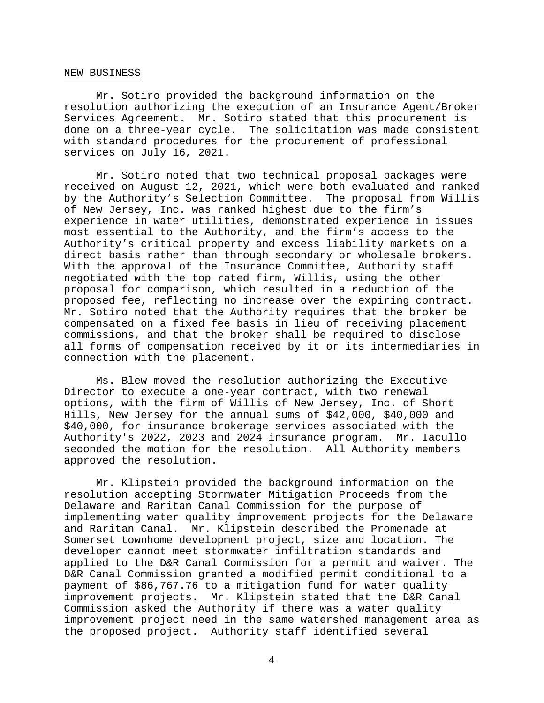#### NEW BUSINESS

Mr. Sotiro provided the background information on the resolution authorizing the execution of an Insurance Agent/Broker Services Agreement. Mr. Sotiro stated that this procurement is done on a three-year cycle. The solicitation was made consistent with standard procedures for the procurement of professional services on July 16, 2021.

Mr. Sotiro noted that two technical proposal packages were received on August 12, 2021, which were both evaluated and ranked by the Authority's Selection Committee. The proposal from Willis of New Jersey, Inc. was ranked highest due to the firm's experience in water utilities, demonstrated experience in issues most essential to the Authority, and the firm's access to the Authority's critical property and excess liability markets on a direct basis rather than through secondary or wholesale brokers. With the approval of the Insurance Committee, Authority staff negotiated with the top rated firm, Willis, using the other proposal for comparison, which resulted in a reduction of the proposed fee, reflecting no increase over the expiring contract. Mr. Sotiro noted that the Authority requires that the broker be compensated on a fixed fee basis in lieu of receiving placement commissions, and that the broker shall be required to disclose all forms of compensation received by it or its intermediaries in connection with the placement.

Ms. Blew moved the resolution authorizing the Executive Director to execute a one-year contract, with two renewal options, with the firm of Willis of New Jersey, Inc. of Short Hills, New Jersey for the annual sums of \$42,000, \$40,000 and \$40,000, for insurance brokerage services associated with the Authority's 2022, 2023 and 2024 insurance program. Mr. Iacullo seconded the motion for the resolution. All Authority members approved the resolution.

Mr. Klipstein provided the background information on the resolution accepting Stormwater Mitigation Proceeds from the Delaware and Raritan Canal Commission for the purpose of implementing water quality improvement projects for the Delaware and Raritan Canal. Mr. Klipstein described the Promenade at Somerset townhome development project, size and location. The developer cannot meet stormwater infiltration standards and applied to the D&R Canal Commission for a permit and waiver. The D&R Canal Commission granted a modified permit conditional to a payment of \$86,767.76 to a mitigation fund for water quality improvement projects. Mr. Klipstein stated that the D&R Canal Commission asked the Authority if there was a water quality improvement project need in the same watershed management area as the proposed project. Authority staff identified several

4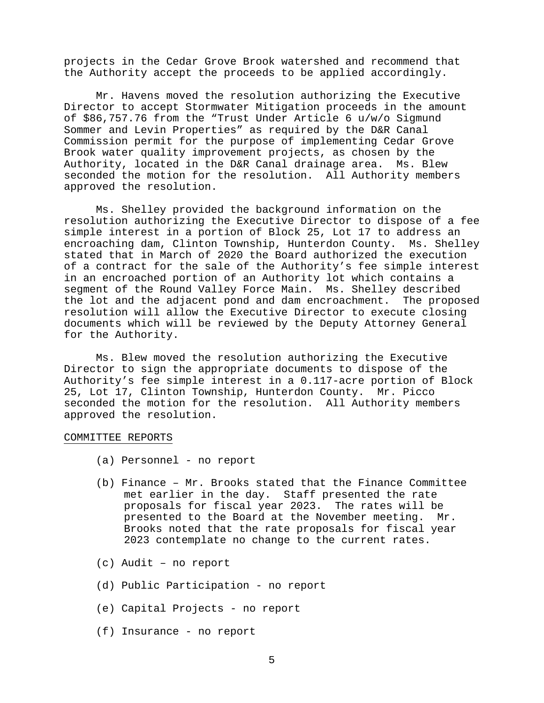projects in the Cedar Grove Brook watershed and recommend that the Authority accept the proceeds to be applied accordingly.

Mr. Havens moved the resolution authorizing the Executive Director to accept Stormwater Mitigation proceeds in the amount of \$86,757.76 from the "Trust Under Article 6 u/w/o Sigmund Sommer and Levin Properties" as required by the D&R Canal Commission permit for the purpose of implementing Cedar Grove Brook water quality improvement projects, as chosen by the Authority, located in the D&R Canal drainage area. Ms. Blew seconded the motion for the resolution. All Authority members approved the resolution.

Ms. Shelley provided the background information on the resolution authorizing the Executive Director to dispose of a fee simple interest in a portion of Block 25, Lot 17 to address an encroaching dam, Clinton Township, Hunterdon County. Ms. Shelley stated that in March of 2020 the Board authorized the execution of a contract for the sale of the Authority's fee simple interest in an encroached portion of an Authority lot which contains a segment of the Round Valley Force Main. Ms. Shelley described the lot and the adjacent pond and dam encroachment. The proposed resolution will allow the Executive Director to execute closing documents which will be reviewed by the Deputy Attorney General for the Authority.

Ms. Blew moved the resolution authorizing the Executive Director to sign the appropriate documents to dispose of the Authority's fee simple interest in a 0.117-acre portion of Block 25, Lot 17, Clinton Township, Hunterdon County. Mr. Picco seconded the motion for the resolution. All Authority members approved the resolution.

#### COMMITTEE REPORTS

- (a) Personnel no report
- (b) Finance Mr. Brooks stated that the Finance Committee met earlier in the day. Staff presented the rate proposals for fiscal year 2023. The rates will be presented to the Board at the November meeting. Mr. Brooks noted that the rate proposals for fiscal year 2023 contemplate no change to the current rates.
- (c) Audit no report
- (d) Public Participation no report
- (e) Capital Projects no report
- (f) Insurance no report